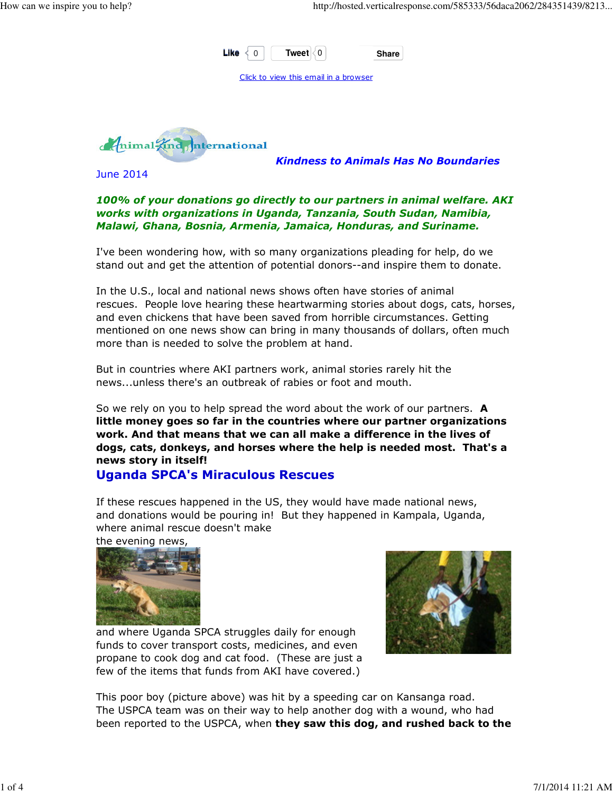

Kindness to Animals Has No Boundaries

June 2014

#### 100% of your donations go directly to our partners in animal welfare. AKI works with organizations in Uganda, Tanzania, South Sudan, Namibia, Malawi, Ghana, Bosnia, Armenia, Jamaica, Honduras, and Suriname.

I've been wondering how, with so many organizations pleading for help, do we stand out and get the attention of potential donors--and inspire them to donate.

In the U.S., local and national news shows often have stories of animal rescues. People love hearing these heartwarming stories about dogs, cats, horses, and even chickens that have been saved from horrible circumstances. Getting mentioned on one news show can bring in many thousands of dollars, often much more than is needed to solve the problem at hand.

But in countries where AKI partners work, animal stories rarely hit the news...unless there's an outbreak of rabies or foot and mouth.

So we rely on you to help spread the word about the work of our partners. **A** little money goes so far in the countries where our partner organizations work. And that means that we can all make a difference in the lives of dogs, cats, donkeys, and horses where the help is needed most. That's a news story in itself!

#### Uganda SPCA's Miraculous Rescues

If these rescues happened in the US, they would have made national news, and donations would be pouring in! But they happened in Kampala, Uganda, where animal rescue doesn't make

the evening news,





and where Uganda SPCA struggles daily for enough funds to cover transport costs, medicines, and even propane to cook dog and cat food. (These are just a few of the items that funds from AKI have covered.)

This poor boy (picture above) was hit by a speeding car on Kansanga road. The USPCA team was on their way to help another dog with a wound, who had been reported to the USPCA, when they saw this dog, and rushed back to the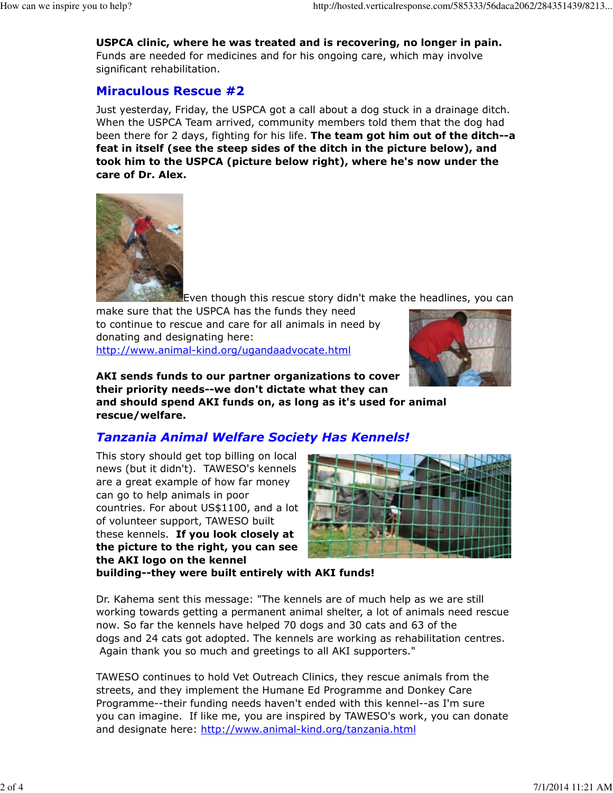USPCA clinic, where he was treated and is recovering, no longer in pain. Funds are needed for medicines and for his ongoing care, which may involve significant rehabilitation.

### Miraculous Rescue #2

Just yesterday, Friday, the USPCA got a call about a dog stuck in a drainage ditch. When the USPCA Team arrived, community members told them that the dog had been there for 2 days, fighting for his life. The team got him out of the ditch--a feat in itself (see the steep sides of the ditch in the picture below), and took him to the USPCA (picture below right), where he's now under the care of Dr. Alex.



Even though this rescue story didn't make the headlines, you can

make sure that the USPCA has the funds they need to continue to rescue and care for all animals in need by donating and designating here: http://www.animal-kind.org/ugandaadvocate.html



AKI sends funds to our partner organizations to cover their priority needs--we don't dictate what they can

and should spend AKI funds on, as long as it's used for animal rescue/welfare.

## Tanzania Animal Welfare Society Has Kennels!

This story should get top billing on local news (but it didn't). TAWESO's kennels are a great example of how far money can go to help animals in poor countries. For about US\$1100, and a lot of volunteer support, TAWESO built these kennels. If you look closely at the picture to the right, you can see the AKI logo on the kennel



building--they were built entirely with AKI funds!

Dr. Kahema sent this message: "The kennels are of much help as we are still working towards getting a permanent animal shelter, a lot of animals need rescue now. So far the kennels have helped 70 dogs and 30 cats and 63 of the dogs and 24 cats got adopted. The kennels are working as rehabilitation centres. Again thank you so much and greetings to all AKI supporters."

TAWESO continues to hold Vet Outreach Clinics, they rescue animals from the streets, and they implement the Humane Ed Programme and Donkey Care Programme--their funding needs haven't ended with this kennel--as I'm sure you can imagine. If like me, you are inspired by TAWESO's work, you can donate and designate here: http://www.animal-kind.org/tanzania.html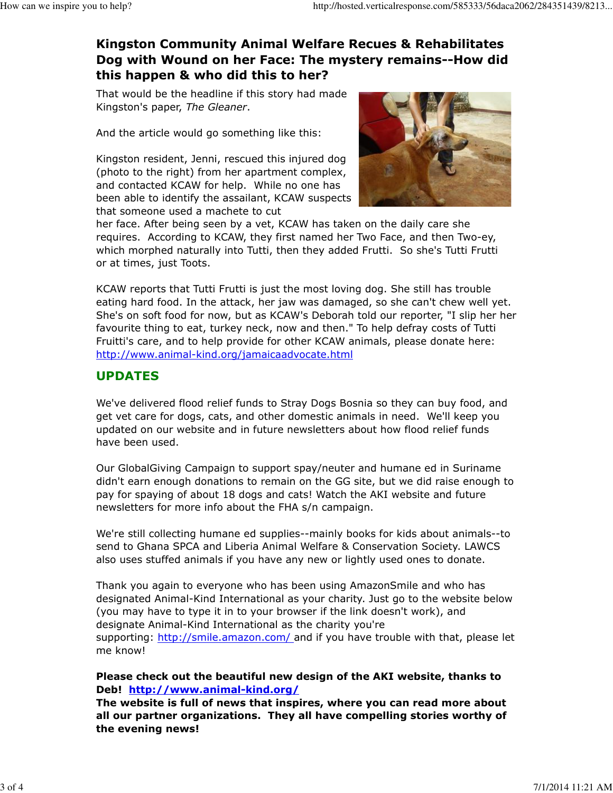# Kingston Community Animal Welfare Recues & Rehabilitates Dog with Wound on her Face: The mystery remains--How did this happen & who did this to her?

That would be the headline if this story had made Kingston's paper, The Gleaner.

And the article would go something like this:

Kingston resident, Jenni, rescued this injured dog (photo to the right) from her apartment complex, and contacted KCAW for help. While no one has been able to identify the assailant, KCAW suspects that someone used a machete to cut



her face. After being seen by a vet, KCAW has taken on the daily care she requires. According to KCAW, they first named her Two Face, and then Two-ey, which morphed naturally into Tutti, then they added Frutti. So she's Tutti Frutti or at times, just Toots.

KCAW reports that Tutti Frutti is just the most loving dog. She still has trouble eating hard food. In the attack, her jaw was damaged, so she can't chew well yet. She's on soft food for now, but as KCAW's Deborah told our reporter, "I slip her her favourite thing to eat, turkey neck, now and then." To help defray costs of Tutti Fruitti's care, and to help provide for other KCAW animals, please donate here: http://www.animal-kind.org/jamaicaadvocate.html

### UPDATES

We've delivered flood relief funds to Stray Dogs Bosnia so they can buy food, and get vet care for dogs, cats, and other domestic animals in need. We'll keep you updated on our website and in future newsletters about how flood relief funds have been used.

Our GlobalGiving Campaign to support spay/neuter and humane ed in Suriname didn't earn enough donations to remain on the GG site, but we did raise enough to pay for spaying of about 18 dogs and cats! Watch the AKI website and future newsletters for more info about the FHA s/n campaign.

We're still collecting humane ed supplies--mainly books for kids about animals--to send to Ghana SPCA and Liberia Animal Welfare & Conservation Society. LAWCS also uses stuffed animals if you have any new or lightly used ones to donate.

Thank you again to everyone who has been using AmazonSmile and who has designated Animal-Kind International as your charity. Just go to the website below (you may have to type it in to your browser if the link doesn't work), and designate Animal-Kind International as the charity you're supporting: http://smile.amazon.com/ and if you have trouble with that, please let me know!

#### Please check out the beautiful new design of the AKI website, thanks to Deb! http://www.animal-kind.org/

The website is full of news that inspires, where you can read more about all our partner organizations. They all have compelling stories worthy of the evening news!